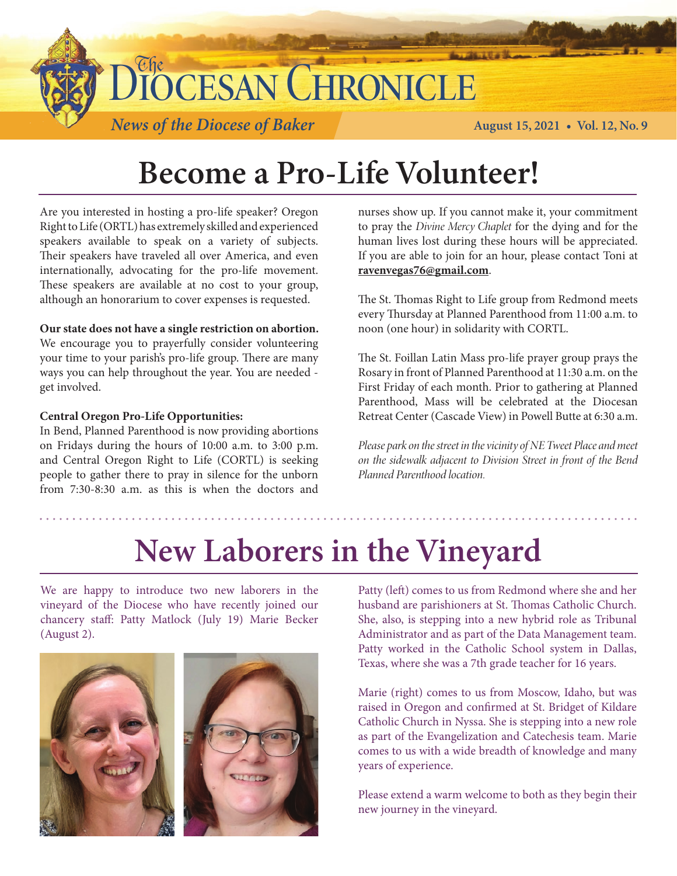

## **Become a Pro-Life Volunteer!**

Are you interested in hosting a pro-life speaker? Oregon Right to Life (ORTL) has extremely skilled and experienced speakers available to speak on a variety of subjects. Their speakers have traveled all over America, and even internationally, advocating for the pro-life movement. These speakers are available at no cost to your group, although an honorarium to cover expenses is requested.

#### **Our state does not have a single restriction on abortion.**

We encourage you to prayerfully consider volunteering your time to your parish's pro-life group. There are many ways you can help throughout the year. You are needed get involved.

#### **Central Oregon Pro-Life Opportunities:**

In Bend, Planned Parenthood is now providing abortions on Fridays during the hours of 10:00 a.m. to 3:00 p.m. and Central Oregon Right to Life (CORTL) is seeking people to gather there to pray in silence for the unborn from 7:30-8:30 a.m. as this is when the doctors and nurses show up. If you cannot make it, your commitment to pray the *Divine Mercy Chaplet* for the dying and for the human lives lost during these hours will be appreciated. If you are able to join for an hour, please contact Toni at **ravenvegas76@gmail.com**.

The St. Thomas Right to Life group from Redmond meets every Thursday at Planned Parenthood from 11:00 a.m. to noon (one hour) in solidarity with CORTL.

The St. Foillan Latin Mass pro-life prayer group prays the Rosary in front of Planned Parenthood at 11:30 a.m. on the First Friday of each month. Prior to gathering at Planned Parenthood, Mass will be celebrated at the Diocesan Retreat Center (Cascade View) in Powell Butte at 6:30 a.m.

*Please park on the street in the vicinity of NE Tweet Place and meet on the sidewalk adjacent to Division Street in front of the Bend Planned Parenthood location.*

# **New Laborers in the Vineyard**

We are happy to introduce two new laborers in the vineyard of the Diocese who have recently joined our chancery staff: Patty Matlock (July 19) Marie Becker (August 2).



Patty (left) comes to us from Redmond where she and her husband are parishioners at St. Thomas Catholic Church. She, also, is stepping into a new hybrid role as Tribunal Administrator and as part of the Data Management team. Patty worked in the Catholic School system in Dallas, Texas, where she was a 7th grade teacher for 16 years.

Marie (right) comes to us from Moscow, Idaho, but was raised in Oregon and confirmed at St. Bridget of Kildare Catholic Church in Nyssa. She is stepping into a new role as part of the Evangelization and Catechesis team. Marie comes to us with a wide breadth of knowledge and many years of experience.

Please extend a warm welcome to both as they begin their new journey in the vineyard.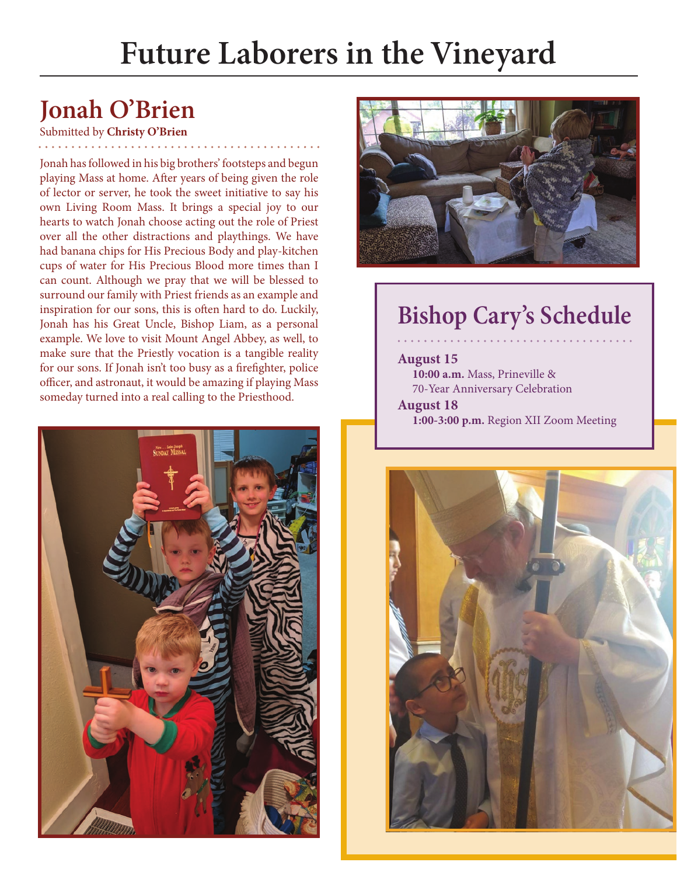# **Future Laborers in the Vineyard**

## **Jonah O'Brien**

#### Submitted by **Christy O'Brien**

Jonah has followed in his big brothers' footsteps and begun playing Mass at home. After years of being given the role of lector or server, he took the sweet initiative to say his own Living Room Mass. It brings a special joy to our hearts to watch Jonah choose acting out the role of Priest over all the other distractions and playthings. We have had banana chips for His Precious Body and play-kitchen cups of water for His Precious Blood more times than I can count. Although we pray that we will be blessed to surround our family with Priest friends as an example and inspiration for our sons, this is often hard to do. Luckily, Jonah has his Great Uncle, Bishop Liam, as a personal example. We love to visit Mount Angel Abbey, as well, to make sure that the Priestly vocation is a tangible reality for our sons. If Jonah isn't too busy as a firefighter, police officer, and astronaut, it would be amazing if playing Mass someday turned into a real calling to the Priesthood.





## **Bishop Cary's Schedule**

#### **August 15 10:00 a.m.** Mass, Prineville & 70-Year Anniversary Celebration

**August 18 1:00-3:00 p.m.** Region XII Zoom Meeting

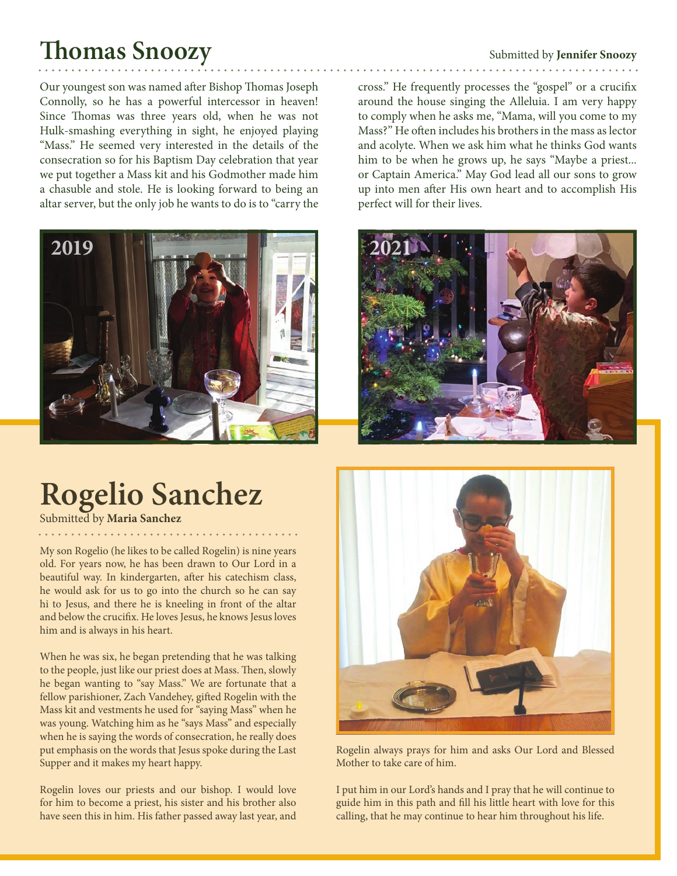## **Thomas Snoozy**

Our youngest son was named after Bishop Thomas Joseph Connolly, so he has a powerful intercessor in heaven! Since Thomas was three years old, when he was not Hulk-smashing everything in sight, he enjoyed playing "Mass." He seemed very interested in the details of the consecration so for his Baptism Day celebration that year we put together a Mass kit and his Godmother made him a chasuble and stole. He is looking forward to being an altar server, but the only job he wants to do is to "carry the



# **Rogelio Sanchez**

Submitted by **Maria Sanchez**

My son Rogelio (he likes to be called Rogelin) is nine years old. For years now, he has been drawn to Our Lord in a beautiful way. In kindergarten, after his catechism class, he would ask for us to go into the church so he can say hi to Jesus, and there he is kneeling in front of the altar and below the crucifix. He loves Jesus, he knows Jesus loves him and is always in his heart.

When he was six, he began pretending that he was talking to the people, just like our priest does at Mass. Then, slowly he began wanting to "say Mass." We are fortunate that a fellow parishioner, Zach Vandehey, gifted Rogelin with the Mass kit and vestments he used for "saying Mass" when he was young. Watching him as he "says Mass" and especially when he is saying the words of consecration, he really does put emphasis on the words that Jesus spoke during the Last Supper and it makes my heart happy.

Rogelin loves our priests and our bishop. I would love for him to become a priest, his sister and his brother also have seen this in him. His father passed away last year, and

#### Submitted by **Jennifer Snoozy**

cross." He frequently processes the "gospel" or a crucifix around the house singing the Alleluia. I am very happy to comply when he asks me, "Mama, will you come to my Mass?" He often includes his brothers in the mass as lector and acolyte. When we ask him what he thinks God wants him to be when he grows up, he says "Maybe a priest... or Captain America." May God lead all our sons to grow up into men after His own heart and to accomplish His perfect will for their lives.





Rogelin always prays for him and asks Our Lord and Blessed Mother to take care of him.

I put him in our Lord's hands and I pray that he will continue to guide him in this path and fill his little heart with love for this calling, that he may continue to hear him throughout his life.